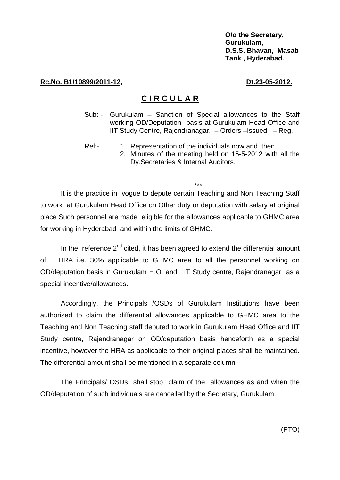**O/o the Secretary, Gurukulam, D.S.S. Bhavan, Masab Tank , Hyderabad.** 

## **Rc.No. B1/10899/2011-12, Dt.23-05-2012.**

## **C I R C U L A R**

- Sub: Gurukulam Sanction of Special allowances to the Staff working OD/Deputation basis at Gurukulam Head Office and IIT Study Centre, Rajendranagar. – Orders –Issued – Reg.
- Ref:- 1. Representation of the individuals now and then.
	- 2. Minutes of the meeting held on 15-5-2012 with all the Dy.Secretaries & Internal Auditors.

\*\*\*

It is the practice in vogue to depute certain Teaching and Non Teaching Staff to work at Gurukulam Head Office on Other duty or deputation with salary at original place Such personnel are made eligible for the allowances applicable to GHMC area for working in Hyderabad and within the limits of GHMC.

In the reference  $2^{nd}$  cited, it has been agreed to extend the differential amount of HRA i.e. 30% applicable to GHMC area to all the personnel working on OD/deputation basis in Gurukulam H.O. and IIT Study centre, Rajendranagar as a special incentive/allowances.

Accordingly, the Principals /OSDs of Gurukulam Institutions have been authorised to claim the differential allowances applicable to GHMC area to the Teaching and Non Teaching staff deputed to work in Gurukulam Head Office and IIT Study centre, Rajendranagar on OD/deputation basis henceforth as a special incentive, however the HRA as applicable to their original places shall be maintained. The differential amount shall be mentioned in a separate column.

The Principals/ OSDs shall stop claim of the allowances as and when the OD/deputation of such individuals are cancelled by the Secretary, Gurukulam.